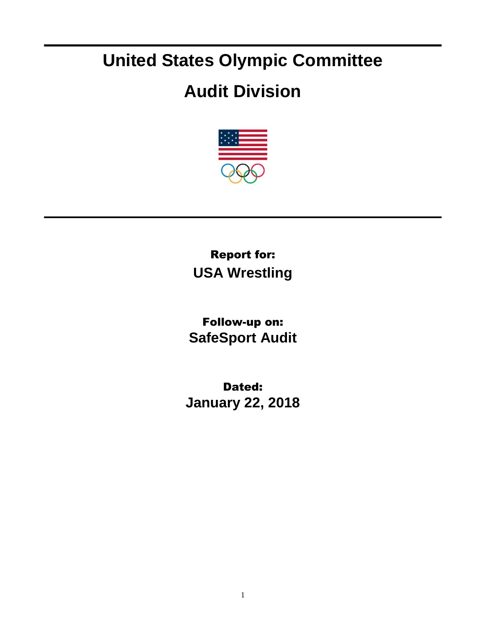## **United States Olympic Committee**

## **Audit Division**



Report for: **USA Wrestling**

Follow-up on: **SafeSport Audit**

Dated: **January 22, 2018**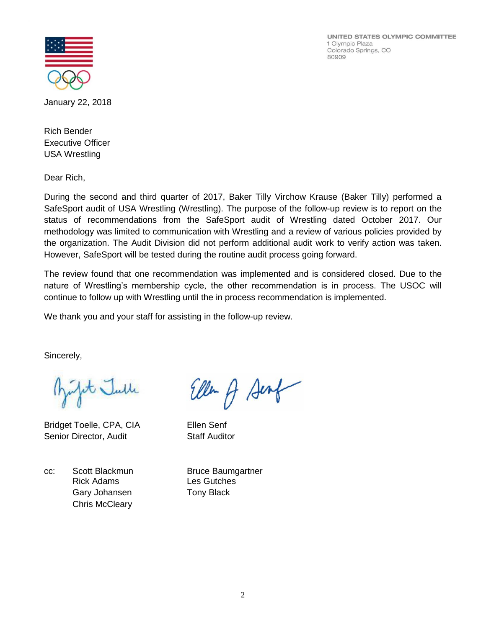UNITED STATES OLYMPIC COMMITTEE 1 Olympic Plaza Colorado Springs, CO 80909



January 22, 2018

Rich Bender Executive Officer USA Wrestling

Dear Rich,

During the second and third quarter of 2017, Baker Tilly Virchow Krause (Baker Tilly) performed a SafeSport audit of USA Wrestling (Wrestling). The purpose of the follow-up review is to report on the status of recommendations from the SafeSport audit of Wrestling dated October 2017. Our methodology was limited to communication with Wrestling and a review of various policies provided by the organization. The Audit Division did not perform additional audit work to verify action was taken. However, SafeSport will be tested during the routine audit process going forward.

The review found that one recommendation was implemented and is considered closed. Due to the nature of Wrestling's membership cycle, the other recommendation is in process. The USOC will continue to follow up with Wrestling until the in process recommendation is implemented.

We thank you and your staff for assisting in the follow-up review.

Sincerely,

it Julle

Bridget Toelle, CPA, CIA Ellen Senf Senior Director, Audit Staff Auditor

cc: Scott Blackmun Bruce Baumgartner Rick Adams Les Gutches Gary Johansen Tony Black Chris McCleary

Ellen A Sent